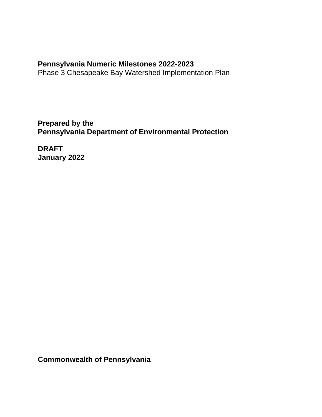# **Pennsylvania Numeric Milestones 2022-2023**

Phase 3 Chesapeake Bay Watershed Implementation Plan

**Prepared by the Pennsylvania Department of Environmental Protection**

**DRAFT January 2022**

**Commonwealth of Pennsylvania**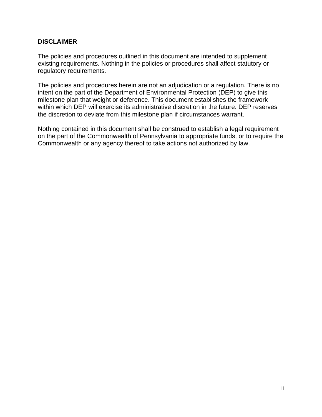#### **DISCLAIMER**

The policies and procedures outlined in this document are intended to supplement existing requirements. Nothing in the policies or procedures shall affect statutory or regulatory requirements.

The policies and procedures herein are not an adjudication or a regulation. There is no intent on the part of the Department of Environmental Protection (DEP) to give this milestone plan that weight or deference. This document establishes the framework within which DEP will exercise its administrative discretion in the future. DEP reserves the discretion to deviate from this milestone plan if circumstances warrant.

Nothing contained in this document shall be construed to establish a legal requirement on the part of the Commonwealth of Pennsylvania to appropriate funds, or to require the Commonwealth or any agency thereof to take actions not authorized by law.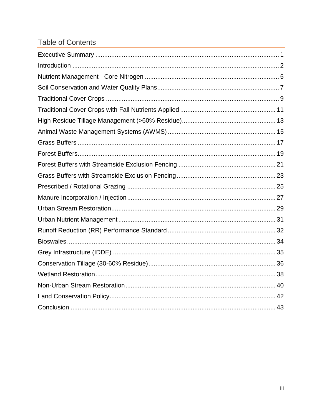# **Table of Contents**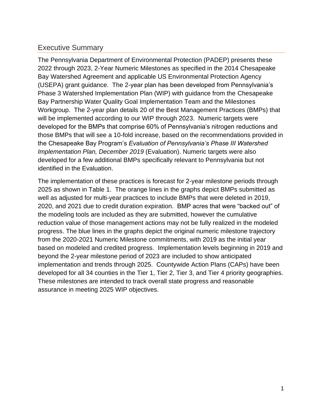# <span id="page-3-0"></span>Executive Summary

The Pennsylvania Department of Environmental Protection (PADEP) presents these 2022 through 2023, 2-Year Numeric Milestones as specified in the 2014 Chesapeake Bay Watershed Agreement and applicable US Environmental Protection Agency (USEPA) grant guidance. The 2-year plan has been developed from Pennsylvania's Phase 3 Watershed Implementation Plan (WIP) with guidance from the Chesapeake Bay Partnership Water Quality Goal Implementation Team and the Milestones Workgroup. The 2-year plan details 20 of the Best Management Practices (BMPs) that will be implemented according to our WIP through 2023. Numeric targets were developed for the BMPs that comprise 60% of Pennsylvania's nitrogen reductions and those BMPs that will see a 10-fold increase, based on the recommendations provided in the Chesapeake Bay Program's *Evaluation of Pennsylvania's Phase III Watershed Implementation Plan, December 2019* (Evaluation). Numeric targets were also developed for a few additional BMPs specifically relevant to Pennsylvania but not identified in the Evaluation.

The implementation of these practices is forecast for 2-year milestone periods through 2025 as shown in Table 1. The orange lines in the graphs depict BMPs submitted as well as adjusted for multi-year practices to include BMPs that were deleted in 2019, 2020, and 2021 due to credit duration expiration. BMP acres that were "backed out" of the modeling tools are included as they are submitted, however the cumulative reduction value of those management actions may not be fully realized in the modeled progress. The blue lines in the graphs depict the original numeric milestone trajectory from the 2020-2021 Numeric Milestone commitments, with 2019 as the initial year based on modeled and credited progress. Implementation levels beginning in 2019 and beyond the 2-year milestone period of 2023 are included to show anticipated implementation and trends through 2025. Countywide Action Plans (CAPs) have been developed for all 34 counties in the Tier 1, Tier 2, Tier 3, and Tier 4 priority geographies. These milestones are intended to track overall state progress and reasonable assurance in meeting 2025 WIP objectives.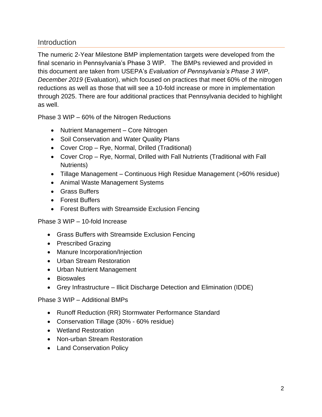# <span id="page-4-0"></span>**Introduction**

The numeric 2-Year Milestone BMP implementation targets were developed from the final scenario in Pennsylvania's Phase 3 WIP. The BMPs reviewed and provided in this document are taken from USEPA's *Evaluation of Pennsylvania's Phase 3 WIP*, *December 2019* (Evaluation), which focused on practices that meet 60% of the nitrogen reductions as well as those that will see a 10-fold increase or more in implementation through 2025. There are four additional practices that Pennsylvania decided to highlight as well.

Phase 3 WIP – 60% of the Nitrogen Reductions

- Nutrient Management Core Nitrogen
- Soil Conservation and Water Quality Plans
- Cover Crop Rye, Normal, Drilled (Traditional)
- Cover Crop Rye, Normal, Drilled with Fall Nutrients (Traditional with Fall Nutrients)
- Tillage Management Continuous High Residue Management (>60% residue)
- Animal Waste Management Systems
- Grass Buffers
- Forest Buffers
- Forest Buffers with Streamside Exclusion Fencing

Phase 3 WIP – 10-fold Increase

- Grass Buffers with Streamside Exclusion Fencing
- Prescribed Grazing
- Manure Incorporation/Injection
- Urban Stream Restoration
- Urban Nutrient Management
- Bioswales
- Grey Infrastructure Illicit Discharge Detection and Elimination (IDDE)

Phase 3 WIP – Additional BMPs

- Runoff Reduction (RR) Stormwater Performance Standard
- Conservation Tillage (30% 60% residue)
- Wetland Restoration
- Non-urban Stream Restoration
- Land Conservation Policy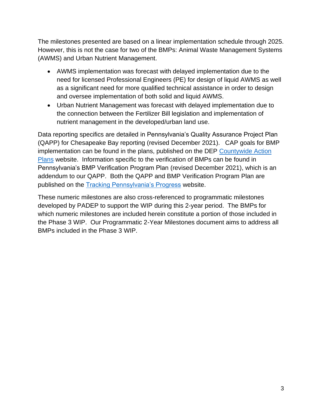The milestones presented are based on a linear implementation schedule through 2025. However, this is not the case for two of the BMPs: Animal Waste Management Systems (AWMS) and Urban Nutrient Management.

- AWMS implementation was forecast with delayed implementation due to the need for licensed Professional Engineers (PE) for design of liquid AWMS as well as a significant need for more qualified technical assistance in order to design and oversee implementation of both solid and liquid AWMS.
- Urban Nutrient Management was forecast with delayed implementation due to the connection between the Fertilizer Bill legislation and implementation of nutrient management in the developed/urban land use.

Data reporting specifics are detailed in Pennsylvania's Quality Assurance Project Plan (QAPP) for Chesapeake Bay reporting (revised December 2021). CAP goals for BMP implementation can be found in the plans, published on the DEP [Countywide Action](https://www.dep.pa.gov/Business/Water/Pennsylvania%E2%80%99s%20Chesapeake%20Bay%20Program%20Office/WIP3/GetInvolved/Pages/Countywide-Action-Plans.aspx)  [Plans](https://www.dep.pa.gov/Business/Water/Pennsylvania%E2%80%99s%20Chesapeake%20Bay%20Program%20Office/WIP3/GetInvolved/Pages/Countywide-Action-Plans.aspx) website. Information specific to the verification of BMPs can be found in Pennsylvania's BMP Verification Program Plan (revised December 2021), which is an addendum to our QAPP. Both the QAPP and BMP Verification Program Plan are published on the **Tracking Pennsylvania's Progress** website.

These numeric milestones are also cross-referenced to programmatic milestones developed by PADEP to support the WIP during this 2-year period. The BMPs for which numeric milestones are included herein constitute a portion of those included in the Phase 3 WIP. Our Programmatic 2-Year Milestones document aims to address all BMPs included in the Phase 3 WIP.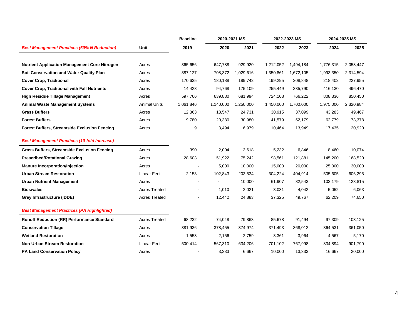| <b>Best Management Practices (60% N Reduction)</b>   | Unit                 | <b>Baseline</b> | 2020-2021 MS |           | 2022-2023 MS |           | 2024-2025 MS |           |
|------------------------------------------------------|----------------------|-----------------|--------------|-----------|--------------|-----------|--------------|-----------|
|                                                      |                      | 2019            | 2020         | 2021      | 2022         | 2023      | 2024         | 2025      |
| <b>Nutrient Application Management Core Nitrogen</b> | Acres                | 365,656         | 647,788      | 929,920   | 1,212,052    | 1,494,184 | 1,776,315    | 2,058,447 |
| Soil Conservation and Water Quality Plan             | Acres                | 387,127         | 708,372      | 1,029,616 | 1,350,861    | 1,672,105 | 1,993,350    | 2,314,594 |
| <b>Cover Crop, Traditional</b>                       | Acres                | 170,635         | 180,188      | 189,742   | 199,295      | 208,848   | 218,402      | 227,955   |
| <b>Cover Crop, Traditional with Fall Nutrients</b>   | Acres                | 14,428          | 94,768       | 175,109   | 255,449      | 335,790   | 416,130      | 496,470   |
| <b>High Residue Tillage Management</b>               | Acres                | 597,766         | 639,880      | 681,994   | 724,108      | 766,222   | 808,336      | 850,450   |
| <b>Animal Waste Management Systems</b>               | <b>Animal Units</b>  | 1,061,846       | 1,140,000    | 1,250,000 | 1,450,000    | 1,700,000 | 1,975,000    | 2,320,984 |
| <b>Grass Buffers</b>                                 | Acres                | 12,363          | 18,547       | 24,731    | 30,915       | 37,099    | 43,283       | 49,467    |
| <b>Forest Buffers</b>                                | Acres                | 9,780           | 20,380       | 30,980    | 41,579       | 52,179    | 62,779       | 73,378    |
| <b>Forest Buffers, Streamside Exclusion Fencing</b>  | Acres                | 9               | 3,494        | 6,979     | 10,464       | 13,949    | 17,435       | 20,920    |
| <b>Best Management Practices (10-fold Increase)</b>  |                      |                 |              |           |              |           |              |           |
| <b>Grass Buffers, Streamside Exclusion Fencing</b>   | Acres                | 390             | 2,004        | 3,618     | 5,232        | 6,846     | 8,460        | 10,074    |
| <b>Prescribed/Rotational Grazing</b>                 | Acres                | 28,603          | 51,922       | 75,242    | 98,561       | 121,881   | 145,200      | 168,520   |
| <b>Manure Incorporation/Injection</b>                | Acres                |                 | 5,000        | 10,000    | 15,000       | 20,000    | 25,000       | 30,000    |
| <b>Urban Stream Restoration</b>                      | <b>Linear Feet</b>   | 2,153           | 102,843      | 203,534   | 304,224      | 404,914   | 505,605      | 606,295   |
| <b>Urban Nutrient Management</b>                     | Acres                |                 |              | 10,000    | 61,907       | 82,543    | 103,179      | 123,815   |
| <b>Bioswales</b>                                     | <b>Acres Treated</b> |                 | 1,010        | 2,021     | 3,031        | 4,042     | 5,052        | 6,063     |
| Grey Infrastructure (IDDE)                           | <b>Acres Treated</b> |                 | 12,442       | 24,883    | 37,325       | 49.767    | 62,209       | 74,650    |
| <b>Best Management Practices (PA Highlighted)</b>    |                      |                 |              |           |              |           |              |           |
| <b>Runoff Reduction (RR) Performance Standard</b>    | <b>Acres Treated</b> | 68,232          | 74,048       | 79,863    | 85,678       | 91,494    | 97,309       | 103,125   |
| <b>Conservation Tillage</b>                          | Acres                | 381,936         | 378,455      | 374,974   | 371,493      | 368,012   | 364,531      | 361,050   |
| <b>Wetland Restoration</b>                           | Acres                | 1,553           | 2,156        | 2,759     | 3,361        | 3,964     | 4,567        | 5,170     |
| <b>Non-Urban Stream Restoration</b>                  | <b>Linear Feet</b>   | 500,414         | 567,310      | 634,206   | 701,102      | 767,998   | 834,894      | 901,790   |
| <b>PA Land Conservation Policy</b>                   | Acres                |                 | 3,333        | 6,667     | 10,000       | 13,333    | 16,667       | 20,000    |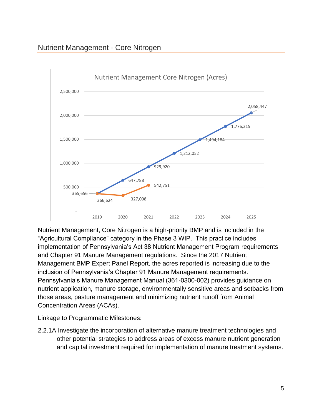# <span id="page-7-0"></span>Nutrient Management - Core Nitrogen



Nutrient Management, Core Nitrogen is a high-priority BMP and is included in the "Agricultural Compliance" category in the Phase 3 WIP. This practice includes implementation of Pennsylvania's Act 38 Nutrient Management Program requirements and Chapter 91 Manure Management regulations. Since the 2017 Nutrient Management BMP Expert Panel Report, the acres reported is increasing due to the inclusion of Pennsylvania's Chapter 91 Manure Management requirements. Pennsylvania's Manure Management Manual (361-0300-002) provides guidance on nutrient application, manure storage, environmentally sensitive areas and setbacks from those areas, pasture management and minimizing nutrient runoff from Animal Concentration Areas (ACAs).

Linkage to Programmatic Milestones:

2.2.1A Investigate the incorporation of alternative manure treatment technologies and other potential strategies to address areas of excess manure nutrient generation and capital investment required for implementation of manure treatment systems.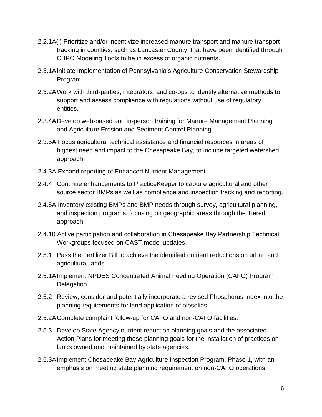- 2.2.1A(i) Prioritize and/or incentivize increased manure transport and manure transport tracking in counties, such as Lancaster County, that have been identified through CBPO Modeling Tools to be in excess of organic nutrients.
- 2.3.1AInitiate Implementation of Pennsylvania's Agriculture Conservation Stewardship Program.
- 2.3.2AWork with third-parties, integrators, and co-ops to identify alternative methods to support and assess compliance with regulations without use of regulatory entities.
- 2.3.4ADevelop web-based and in-person training for Manure Management Planning and Agriculture Erosion and Sediment Control Planning.
- 2.3.5A Focus agricultural technical assistance and financial resources in areas of highest need and impact to the Chesapeake Bay, to include targeted watershed approach.
- 2.4.3A Expand reporting of Enhanced Nutrient Management.
- 2.4.4 Continue enhancements to PracticeKeeper to capture agricultural and other source sector BMPs as well as compliance and inspection tracking and reporting.
- 2.4.5A Inventory existing BMPs and BMP needs through survey, agricultural planning, and inspection programs, focusing on geographic areas through the Tiered approach.
- 2.4.10 Active participation and collaboration in Chesapeake Bay Partnership Technical Workgroups focused on CAST model updates.
- 2.5.1 Pass the Fertilizer Bill to achieve the identified nutrient reductions on urban and agricultural lands.
- 2.5.1AImplement NPDES Concentrated Animal Feeding Operation (CAFO) Program Delegation.
- 2.5.2 Review, consider and potentially incorporate a revised Phosphorus Index into the planning requirements for land application of biosolids.
- 2.5.2AComplete complaint follow-up for CAFO and non-CAFO facilities.
- 2.5.3 Develop State Agency nutrient reduction planning goals and the associated Action Plans for meeting those planning goals for the installation of practices on lands owned and maintained by state agencies.
- 2.5.3AImplement Chesapeake Bay Agriculture Inspection Program, Phase 1, with an emphasis on meeting state planning requirement on non-CAFO operations.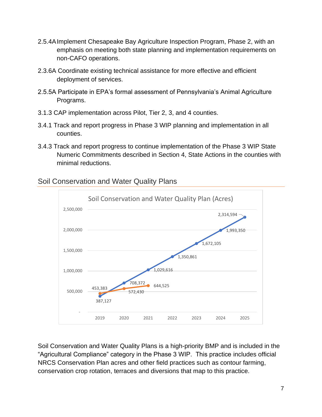- 2.5.4AImplement Chesapeake Bay Agriculture Inspection Program, Phase 2, with an emphasis on meeting both state planning and implementation requirements on non-CAFO operations.
- 2.3.6A Coordinate existing technical assistance for more effective and efficient deployment of services.
- 2.5.5A Participate in EPA's formal assessment of Pennsylvania's Animal Agriculture Programs.
- 3.1.3 CAP implementation across Pilot, Tier 2, 3, and 4 counties.
- 3.4.1 Track and report progress in Phase 3 WIP planning and implementation in all counties.
- 3.4.3 Track and report progress to continue implementation of the Phase 3 WIP State Numeric Commitments described in Section 4, State Actions in the counties with minimal reductions.



#### <span id="page-9-0"></span>Soil Conservation and Water Quality Plans

Soil Conservation and Water Quality Plans is a high-priority BMP and is included in the "Agricultural Compliance" category in the Phase 3 WIP. This practice includes official NRCS Conservation Plan acres and other field practices such as contour farming, conservation crop rotation, terraces and diversions that map to this practice.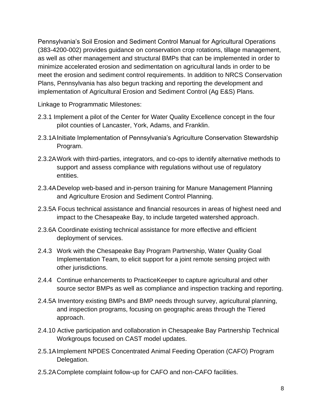Pennsylvania's Soil Erosion and Sediment Control Manual for Agricultural Operations (383-4200-002) provides guidance on conservation crop rotations, tillage management, as well as other management and structural BMPs that can be implemented in order to minimize accelerated erosion and sedimentation on agricultural lands in order to be meet the erosion and sediment control requirements. In addition to NRCS Conservation Plans, Pennsylvania has also begun tracking and reporting the development and implementation of Agricultural Erosion and Sediment Control (Ag E&S) Plans.

- 2.3.1 Implement a pilot of the Center for Water Quality Excellence concept in the four pilot counties of Lancaster, York, Adams, and Franklin.
- 2.3.1AInitiate Implementation of Pennsylvania's Agriculture Conservation Stewardship Program.
- 2.3.2AWork with third-parties, integrators, and co-ops to identify alternative methods to support and assess compliance with regulations without use of regulatory entities.
- 2.3.4ADevelop web-based and in-person training for Manure Management Planning and Agriculture Erosion and Sediment Control Planning.
- 2.3.5A Focus technical assistance and financial resources in areas of highest need and impact to the Chesapeake Bay, to include targeted watershed approach.
- 2.3.6A Coordinate existing technical assistance for more effective and efficient deployment of services.
- 2.4.3 Work with the Chesapeake Bay Program Partnership, Water Quality Goal Implementation Team, to elicit support for a joint remote sensing project with other jurisdictions.
- 2.4.4 Continue enhancements to PracticeKeeper to capture agricultural and other source sector BMPs as well as compliance and inspection tracking and reporting.
- 2.4.5A Inventory existing BMPs and BMP needs through survey, agricultural planning, and inspection programs, focusing on geographic areas through the Tiered approach.
- 2.4.10 Active participation and collaboration in Chesapeake Bay Partnership Technical Workgroups focused on CAST model updates.
- 2.5.1AImplement NPDES Concentrated Animal Feeding Operation (CAFO) Program Delegation.
- 2.5.2AComplete complaint follow-up for CAFO and non-CAFO facilities.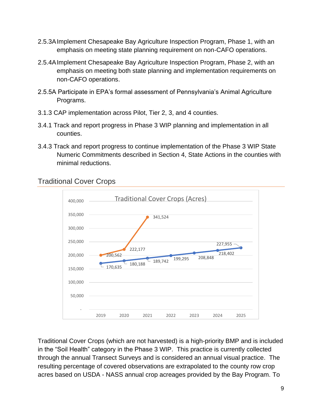- 2.5.3AImplement Chesapeake Bay Agriculture Inspection Program, Phase 1, with an emphasis on meeting state planning requirement on non-CAFO operations.
- 2.5.4AImplement Chesapeake Bay Agriculture Inspection Program, Phase 2, with an emphasis on meeting both state planning and implementation requirements on non-CAFO operations.
- 2.5.5A Participate in EPA's formal assessment of Pennsylvania's Animal Agriculture Programs.
- 3.1.3 CAP implementation across Pilot, Tier 2, 3, and 4 counties.
- 3.4.1 Track and report progress in Phase 3 WIP planning and implementation in all counties.
- 3.4.3 Track and report progress to continue implementation of the Phase 3 WIP State Numeric Commitments described in Section 4, State Actions in the counties with minimal reductions.

<span id="page-11-0"></span>



Traditional Cover Crops (which are not harvested) is a high-priority BMP and is included in the "Soil Health" category in the Phase 3 WIP. This practice is currently collected through the annual Transect Surveys and is considered an annual visual practice. The resulting percentage of covered observations are extrapolated to the county row crop acres based on USDA - NASS annual crop acreages provided by the Bay Program. To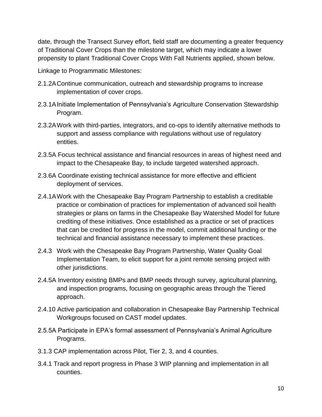date, through the Transect Survey effort, field staff are documenting a greater frequency of Traditional Cover Crops than the milestone target, which may indicate a lower propensity to plant Traditional Cover Crops With Fall Nutrients applied, shown below.

- 2.1.2AContinue communication, outreach and stewardship programs to increase implementation of cover crops.
- 2.3.1AInitiate Implementation of Pennsylvania's Agriculture Conservation Stewardship Program.
- 2.3.2AWork with third-parties, integrators, and co-ops to identify alternative methods to support and assess compliance with regulations without use of regulatory entities.
- 2.3.5A Focus technical assistance and financial resources in areas of highest need and impact to the Chesapeake Bay, to include targeted watershed approach.
- 2.3.6A Coordinate existing technical assistance for more effective and efficient deployment of services.
- 2.4.1AWork with the Chesapeake Bay Program Partnership to establish a creditable practice or combination of practices for implementation of advanced soil health strategies or plans on farms in the Chesapeake Bay Watershed Model for future crediting of these initiatives. Once established as a practice or set of practices that can be credited for progress in the model, commit additional funding or the technical and financial assistance necessary to implement these practices.
- 2.4.3 Work with the Chesapeake Bay Program Partnership, Water Quality Goal Implementation Team, to elicit support for a joint remote sensing project with other jurisdictions.
- 2.4.5A Inventory existing BMPs and BMP needs through survey, agricultural planning, and inspection programs, focusing on geographic areas through the Tiered approach.
- 2.4.10 Active participation and collaboration in Chesapeake Bay Partnership Technical Workgroups focused on CAST model updates.
- 2.5.5A Participate in EPA's formal assessment of Pennsylvania's Animal Agriculture Programs.
- 3.1.3 CAP implementation across Pilot, Tier 2, 3, and 4 counties.
- 3.4.1 Track and report progress in Phase 3 WIP planning and implementation in all counties.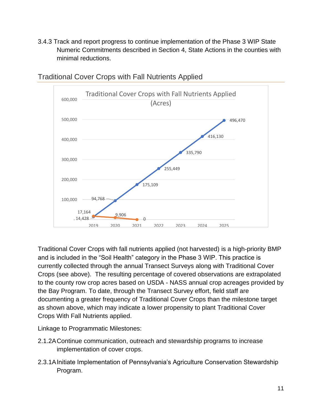3.4.3 Track and report progress to continue implementation of the Phase 3 WIP State Numeric Commitments described in Section 4, State Actions in the counties with minimal reductions.



#### <span id="page-13-0"></span>Traditional Cover Crops with Fall Nutrients Applied

Traditional Cover Crops with fall nutrients applied (not harvested) is a high-priority BMP and is included in the "Soil Health" category in the Phase 3 WIP. This practice is currently collected through the annual Transect Surveys along with Traditional Cover Crops (see above). The resulting percentage of covered observations are extrapolated to the county row crop acres based on USDA - NASS annual crop acreages provided by the Bay Program. To date, through the Transect Survey effort, field staff are documenting a greater frequency of Traditional Cover Crops than the milestone target as shown above, which may indicate a lower propensity to plant Traditional Cover Crops With Fall Nutrients applied.

- 2.1.2AContinue communication, outreach and stewardship programs to increase implementation of cover crops.
- 2.3.1AInitiate Implementation of Pennsylvania's Agriculture Conservation Stewardship Program.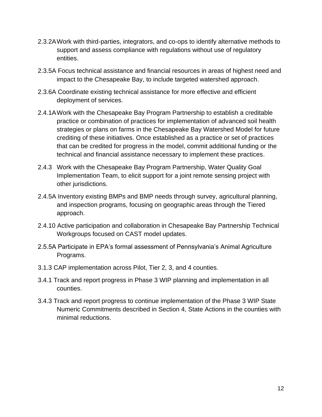- 2.3.2AWork with third-parties, integrators, and co-ops to identify alternative methods to support and assess compliance with regulations without use of regulatory entities.
- 2.3.5A Focus technical assistance and financial resources in areas of highest need and impact to the Chesapeake Bay, to include targeted watershed approach.
- 2.3.6A Coordinate existing technical assistance for more effective and efficient deployment of services.
- 2.4.1AWork with the Chesapeake Bay Program Partnership to establish a creditable practice or combination of practices for implementation of advanced soil health strategies or plans on farms in the Chesapeake Bay Watershed Model for future crediting of these initiatives. Once established as a practice or set of practices that can be credited for progress in the model, commit additional funding or the technical and financial assistance necessary to implement these practices.
- 2.4.3 Work with the Chesapeake Bay Program Partnership, Water Quality Goal Implementation Team, to elicit support for a joint remote sensing project with other jurisdictions.
- 2.4.5A Inventory existing BMPs and BMP needs through survey, agricultural planning, and inspection programs, focusing on geographic areas through the Tiered approach.
- 2.4.10 Active participation and collaboration in Chesapeake Bay Partnership Technical Workgroups focused on CAST model updates.
- 2.5.5A Participate in EPA's formal assessment of Pennsylvania's Animal Agriculture Programs.
- 3.1.3 CAP implementation across Pilot, Tier 2, 3, and 4 counties.
- 3.4.1 Track and report progress in Phase 3 WIP planning and implementation in all counties.
- 3.4.3 Track and report progress to continue implementation of the Phase 3 WIP State Numeric Commitments described in Section 4, State Actions in the counties with minimal reductions.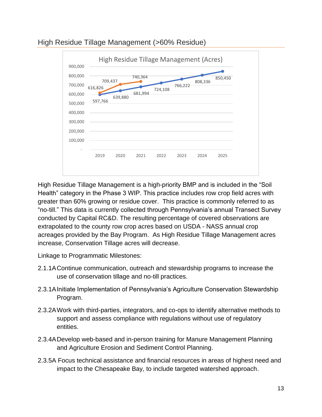

# <span id="page-15-0"></span>High Residue Tillage Management (>60% Residue)

High Residue Tillage Management is a high-priority BMP and is included in the "Soil Health" category in the Phase 3 WIP. This practice includes row crop field acres with greater than 60% growing or residue cover. This practice is commonly referred to as "no-till." This data is currently collected through Pennsylvania's annual Transect Survey conducted by Capital RC&D. The resulting percentage of covered observations are extrapolated to the county row crop acres based on USDA - NASS annual crop acreages provided by the Bay Program. As High Residue Tillage Management acres increase, Conservation Tillage acres will decrease.

- 2.1.1AContinue communication, outreach and stewardship programs to increase the use of conservation tillage and no-till practices.
- 2.3.1AInitiate Implementation of Pennsylvania's Agriculture Conservation Stewardship Program.
- 2.3.2AWork with third-parties, integrators, and co-ops to identify alternative methods to support and assess compliance with regulations without use of regulatory entities.
- 2.3.4ADevelop web-based and in-person training for Manure Management Planning and Agriculture Erosion and Sediment Control Planning.
- 2.3.5A Focus technical assistance and financial resources in areas of highest need and impact to the Chesapeake Bay, to include targeted watershed approach.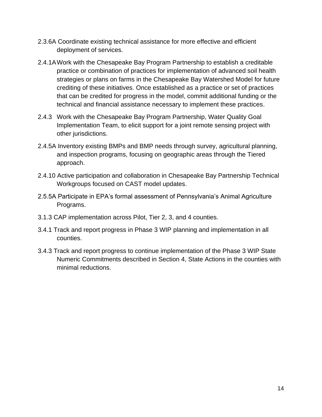- 2.3.6A Coordinate existing technical assistance for more effective and efficient deployment of services.
- 2.4.1AWork with the Chesapeake Bay Program Partnership to establish a creditable practice or combination of practices for implementation of advanced soil health strategies or plans on farms in the Chesapeake Bay Watershed Model for future crediting of these initiatives. Once established as a practice or set of practices that can be credited for progress in the model, commit additional funding or the technical and financial assistance necessary to implement these practices.
- 2.4.3 Work with the Chesapeake Bay Program Partnership, Water Quality Goal Implementation Team, to elicit support for a joint remote sensing project with other jurisdictions.
- 2.4.5A Inventory existing BMPs and BMP needs through survey, agricultural planning, and inspection programs, focusing on geographic areas through the Tiered approach.
- 2.4.10 Active participation and collaboration in Chesapeake Bay Partnership Technical Workgroups focused on CAST model updates.
- 2.5.5A Participate in EPA's formal assessment of Pennsylvania's Animal Agriculture Programs.
- 3.1.3 CAP implementation across Pilot, Tier 2, 3, and 4 counties.
- 3.4.1 Track and report progress in Phase 3 WIP planning and implementation in all counties.
- 3.4.3 Track and report progress to continue implementation of the Phase 3 WIP State Numeric Commitments described in Section 4, State Actions in the counties with minimal reductions.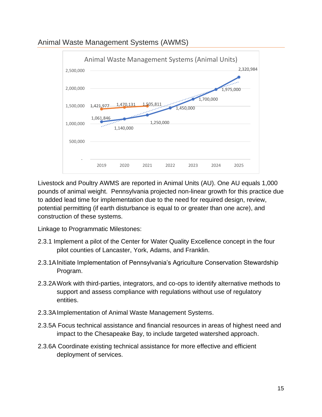<span id="page-17-0"></span>



Livestock and Poultry AWMS are reported in Animal Units (AU). One AU equals 1,000 pounds of animal weight. Pennsylvania projected non-linear growth for this practice due to added lead time for implementation due to the need for required design, review, potential permitting (if earth disturbance is equal to or greater than one acre), and construction of these systems.

- 2.3.1 Implement a pilot of the Center for Water Quality Excellence concept in the four pilot counties of Lancaster, York, Adams, and Franklin.
- 2.3.1AInitiate Implementation of Pennsylvania's Agriculture Conservation Stewardship Program.
- 2.3.2AWork with third-parties, integrators, and co-ops to identify alternative methods to support and assess compliance with regulations without use of regulatory entities.
- 2.3.3AImplementation of Animal Waste Management Systems.
- 2.3.5A Focus technical assistance and financial resources in areas of highest need and impact to the Chesapeake Bay, to include targeted watershed approach.
- 2.3.6A Coordinate existing technical assistance for more effective and efficient deployment of services.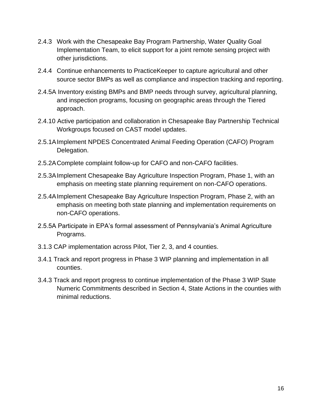- 2.4.3 Work with the Chesapeake Bay Program Partnership, Water Quality Goal Implementation Team, to elicit support for a joint remote sensing project with other jurisdictions.
- 2.4.4 Continue enhancements to PracticeKeeper to capture agricultural and other source sector BMPs as well as compliance and inspection tracking and reporting.
- 2.4.5A Inventory existing BMPs and BMP needs through survey, agricultural planning, and inspection programs, focusing on geographic areas through the Tiered approach.
- 2.4.10 Active participation and collaboration in Chesapeake Bay Partnership Technical Workgroups focused on CAST model updates.
- 2.5.1AImplement NPDES Concentrated Animal Feeding Operation (CAFO) Program Delegation.
- 2.5.2AComplete complaint follow-up for CAFO and non-CAFO facilities.
- 2.5.3AImplement Chesapeake Bay Agriculture Inspection Program, Phase 1, with an emphasis on meeting state planning requirement on non-CAFO operations.
- 2.5.4AImplement Chesapeake Bay Agriculture Inspection Program, Phase 2, with an emphasis on meeting both state planning and implementation requirements on non-CAFO operations.
- 2.5.5A Participate in EPA's formal assessment of Pennsylvania's Animal Agriculture Programs.
- 3.1.3 CAP implementation across Pilot, Tier 2, 3, and 4 counties.
- 3.4.1 Track and report progress in Phase 3 WIP planning and implementation in all counties.
- 3.4.3 Track and report progress to continue implementation of the Phase 3 WIP State Numeric Commitments described in Section 4, State Actions in the counties with minimal reductions.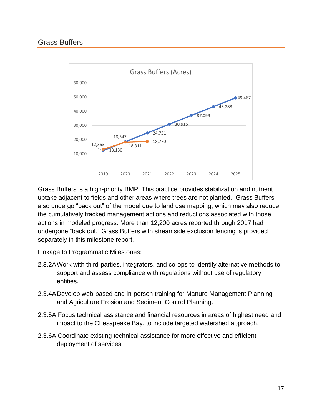#### <span id="page-19-0"></span>Grass Buffers



Grass Buffers is a high-priority BMP. This practice provides stabilization and nutrient uptake adjacent to fields and other areas where trees are not planted. Grass Buffers also undergo "back out" of the model due to land use mapping, which may also reduce the cumulatively tracked management actions and reductions associated with those actions in modeled progress. More than 12,200 acres reported through 2017 had undergone "back out." Grass Buffers with streamside exclusion fencing is provided separately in this milestone report.

- 2.3.2AWork with third-parties, integrators, and co-ops to identify alternative methods to support and assess compliance with regulations without use of regulatory entities.
- 2.3.4ADevelop web-based and in-person training for Manure Management Planning and Agriculture Erosion and Sediment Control Planning.
- 2.3.5A Focus technical assistance and financial resources in areas of highest need and impact to the Chesapeake Bay, to include targeted watershed approach.
- 2.3.6A Coordinate existing technical assistance for more effective and efficient deployment of services.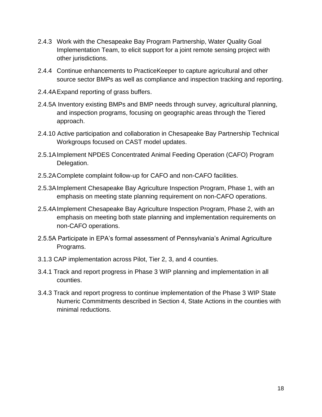- 2.4.3 Work with the Chesapeake Bay Program Partnership, Water Quality Goal Implementation Team, to elicit support for a joint remote sensing project with other jurisdictions.
- 2.4.4 Continue enhancements to PracticeKeeper to capture agricultural and other source sector BMPs as well as compliance and inspection tracking and reporting.
- 2.4.4AExpand reporting of grass buffers.
- 2.4.5A Inventory existing BMPs and BMP needs through survey, agricultural planning, and inspection programs, focusing on geographic areas through the Tiered approach.
- 2.4.10 Active participation and collaboration in Chesapeake Bay Partnership Technical Workgroups focused on CAST model updates.
- 2.5.1AImplement NPDES Concentrated Animal Feeding Operation (CAFO) Program Delegation.
- 2.5.2AComplete complaint follow-up for CAFO and non-CAFO facilities.
- 2.5.3AImplement Chesapeake Bay Agriculture Inspection Program, Phase 1, with an emphasis on meeting state planning requirement on non-CAFO operations.
- 2.5.4AImplement Chesapeake Bay Agriculture Inspection Program, Phase 2, with an emphasis on meeting both state planning and implementation requirements on non-CAFO operations.
- 2.5.5A Participate in EPA's formal assessment of Pennsylvania's Animal Agriculture Programs.
- 3.1.3 CAP implementation across Pilot, Tier 2, 3, and 4 counties.
- 3.4.1 Track and report progress in Phase 3 WIP planning and implementation in all counties.
- 3.4.3 Track and report progress to continue implementation of the Phase 3 WIP State Numeric Commitments described in Section 4, State Actions in the counties with minimal reductions.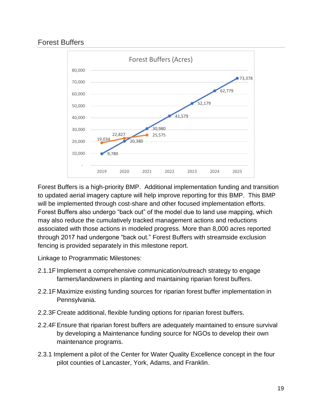# <span id="page-21-0"></span>Forest Buffers



Forest Buffers is a high-priority BMP. Additional implementation funding and transition to updated aerial imagery capture will help improve reporting for this BMP. This BMP will be implemented through cost-share and other focused implementation efforts. Forest Buffers also undergo "back out" of the model due to land use mapping, which may also reduce the cumulatively tracked management actions and reductions associated with those actions in modeled progress. More than 8,000 acres reported through 2017 had undergone "back out." Forest Buffers with streamside exclusion fencing is provided separately in this milestone report.

- 2.1.1F Implement a comprehensive communication/outreach strategy to engage farmers/landowners in planting and maintaining riparian forest buffers.
- 2.2.1F Maximize existing funding sources for riparian forest buffer implementation in Pennsylvania.
- 2.2.3F Create additional, flexible funding options for riparian forest buffers.
- 2.2.4FEnsure that riparian forest buffers are adequately maintained to ensure survival by developing a Maintenance funding source for NGOs to develop their own maintenance programs.
- 2.3.1 Implement a pilot of the Center for Water Quality Excellence concept in the four pilot counties of Lancaster, York, Adams, and Franklin.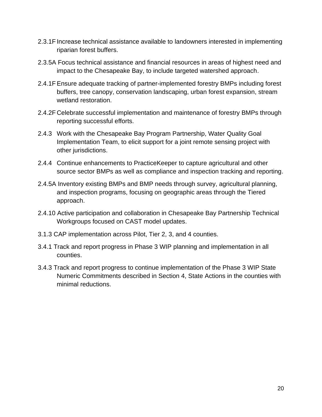- 2.3.1F Increase technical assistance available to landowners interested in implementing riparian forest buffers.
- 2.3.5A Focus technical assistance and financial resources in areas of highest need and impact to the Chesapeake Bay, to include targeted watershed approach.
- 2.4.1FEnsure adequate tracking of partner-implemented forestry BMPs including forest buffers, tree canopy, conservation landscaping, urban forest expansion, stream wetland restoration.
- 2.4.2F Celebrate successful implementation and maintenance of forestry BMPs through reporting successful efforts.
- 2.4.3 Work with the Chesapeake Bay Program Partnership, Water Quality Goal Implementation Team, to elicit support for a joint remote sensing project with other jurisdictions.
- 2.4.4 Continue enhancements to PracticeKeeper to capture agricultural and other source sector BMPs as well as compliance and inspection tracking and reporting.
- 2.4.5A Inventory existing BMPs and BMP needs through survey, agricultural planning, and inspection programs, focusing on geographic areas through the Tiered approach.
- 2.4.10 Active participation and collaboration in Chesapeake Bay Partnership Technical Workgroups focused on CAST model updates.
- 3.1.3 CAP implementation across Pilot, Tier 2, 3, and 4 counties.
- 3.4.1 Track and report progress in Phase 3 WIP planning and implementation in all counties.
- 3.4.3 Track and report progress to continue implementation of the Phase 3 WIP State Numeric Commitments described in Section 4, State Actions in the counties with minimal reductions.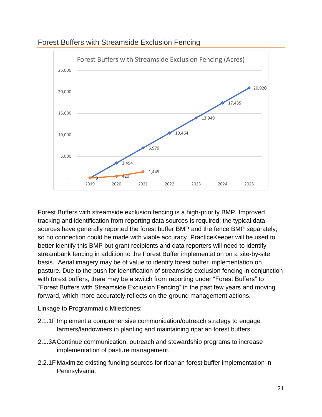

#### <span id="page-23-0"></span>Forest Buffers with Streamside Exclusion Fencing

Forest Buffers with streamside exclusion fencing is a high-priority BMP. Improved tracking and identification from reporting data sources is required; the typical data sources have generally reported the forest buffer BMP and the fence BMP separately, so no connection could be made with viable accuracy. PracticeKeeper will be used to better identify this BMP but grant recipients and data reporters will need to identify streambank fencing in addition to the Forest Buffer implementation on a site-by-site basis. Aerial imagery may be of value to identify forest buffer implementation on pasture. Due to the push for identification of streamside exclusion fencing in conjunction with forest buffers, there may be a switch from reporting under "Forest Buffers" to "Forest Buffers with Streamside Exclusion Fencing" in the past few years and moving forward, which more accurately reflects on-the-ground management actions.

- 2.1.1F Implement a comprehensive communication/outreach strategy to engage farmers/landowners in planting and maintaining riparian forest buffers.
- 2.1.3AContinue communication, outreach and stewardship programs to increase implementation of pasture management.
- 2.2.1F Maximize existing funding sources for riparian forest buffer implementation in Pennsylvania.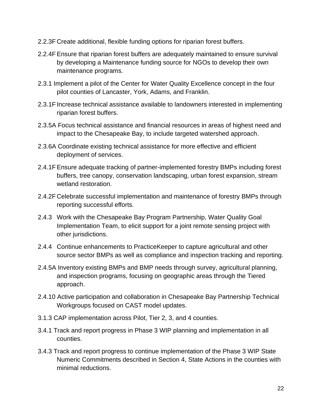- 2.2.3F Create additional, flexible funding options for riparian forest buffers.
- 2.2.4FEnsure that riparian forest buffers are adequately maintained to ensure survival by developing a Maintenance funding source for NGOs to develop their own maintenance programs.
- 2.3.1 Implement a pilot of the Center for Water Quality Excellence concept in the four pilot counties of Lancaster, York, Adams, and Franklin.
- 2.3.1F Increase technical assistance available to landowners interested in implementing riparian forest buffers.
- 2.3.5A Focus technical assistance and financial resources in areas of highest need and impact to the Chesapeake Bay, to include targeted watershed approach.
- 2.3.6A Coordinate existing technical assistance for more effective and efficient deployment of services.
- 2.4.1FEnsure adequate tracking of partner-implemented forestry BMPs including forest buffers, tree canopy, conservation landscaping, urban forest expansion, stream wetland restoration.
- 2.4.2F Celebrate successful implementation and maintenance of forestry BMPs through reporting successful efforts.
- 2.4.3 Work with the Chesapeake Bay Program Partnership, Water Quality Goal Implementation Team, to elicit support for a joint remote sensing project with other jurisdictions.
- 2.4.4 Continue enhancements to PracticeKeeper to capture agricultural and other source sector BMPs as well as compliance and inspection tracking and reporting.
- 2.4.5A Inventory existing BMPs and BMP needs through survey, agricultural planning, and inspection programs, focusing on geographic areas through the Tiered approach.
- 2.4.10 Active participation and collaboration in Chesapeake Bay Partnership Technical Workgroups focused on CAST model updates.
- 3.1.3 CAP implementation across Pilot, Tier 2, 3, and 4 counties.
- 3.4.1 Track and report progress in Phase 3 WIP planning and implementation in all counties.
- 3.4.3 Track and report progress to continue implementation of the Phase 3 WIP State Numeric Commitments described in Section 4, State Actions in the counties with minimal reductions.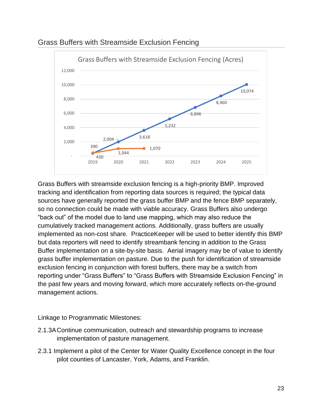

<span id="page-25-0"></span>Grass Buffers with Streamside Exclusion Fencing

Grass Buffers with streamside exclusion fencing is a high-priority BMP. Improved tracking and identification from reporting data sources is required; the typical data sources have generally reported the grass buffer BMP and the fence BMP separately, so no connection could be made with viable accuracy. Grass Buffers also undergo "back out" of the model due to land use mapping, which may also reduce the cumulatively tracked management actions. Additionally, grass buffers are usually implemented as non-cost share. PracticeKeeper will be used to better identify this BMP but data reporters will need to identify streambank fencing in addition to the Grass Buffer implementation on a site-by-site basis. Aerial imagery may be of value to identify grass buffer implementation on pasture. Due to the push for identification of streamside exclusion fencing in conjunction with forest buffers, there may be a switch from reporting under "Grass Buffers" to "Grass Buffers with Streamside Exclusion Fencing" in the past few years and moving forward, which more accurately reflects on-the-ground management actions.

- 2.1.3AContinue communication, outreach and stewardship programs to increase implementation of pasture management.
- 2.3.1 Implement a pilot of the Center for Water Quality Excellence concept in the four pilot counties of Lancaster, York, Adams, and Franklin.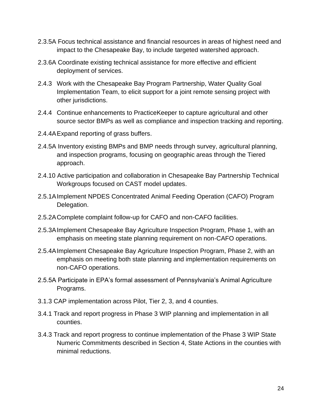- 2.3.5A Focus technical assistance and financial resources in areas of highest need and impact to the Chesapeake Bay, to include targeted watershed approach.
- 2.3.6A Coordinate existing technical assistance for more effective and efficient deployment of services.
- 2.4.3 Work with the Chesapeake Bay Program Partnership, Water Quality Goal Implementation Team, to elicit support for a joint remote sensing project with other jurisdictions.
- 2.4.4 Continue enhancements to PracticeKeeper to capture agricultural and other source sector BMPs as well as compliance and inspection tracking and reporting.
- 2.4.4AExpand reporting of grass buffers.
- 2.4.5A Inventory existing BMPs and BMP needs through survey, agricultural planning, and inspection programs, focusing on geographic areas through the Tiered approach.
- 2.4.10 Active participation and collaboration in Chesapeake Bay Partnership Technical Workgroups focused on CAST model updates.
- 2.5.1AImplement NPDES Concentrated Animal Feeding Operation (CAFO) Program Delegation.
- 2.5.2AComplete complaint follow-up for CAFO and non-CAFO facilities.
- 2.5.3AImplement Chesapeake Bay Agriculture Inspection Program, Phase 1, with an emphasis on meeting state planning requirement on non-CAFO operations.
- 2.5.4AImplement Chesapeake Bay Agriculture Inspection Program, Phase 2, with an emphasis on meeting both state planning and implementation requirements on non-CAFO operations.
- 2.5.5A Participate in EPA's formal assessment of Pennsylvania's Animal Agriculture Programs.
- 3.1.3 CAP implementation across Pilot, Tier 2, 3, and 4 counties.
- 3.4.1 Track and report progress in Phase 3 WIP planning and implementation in all counties.
- 3.4.3 Track and report progress to continue implementation of the Phase 3 WIP State Numeric Commitments described in Section 4, State Actions in the counties with minimal reductions.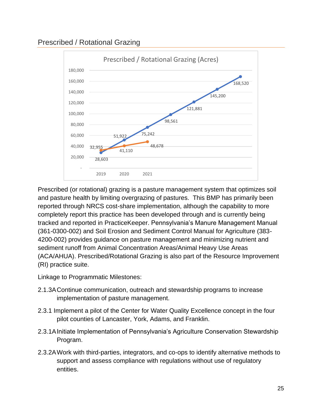# <span id="page-27-0"></span>Prescribed / Rotational Grazing



Prescribed (or rotational) grazing is a pasture management system that optimizes soil and pasture health by limiting overgrazing of pastures. This BMP has primarily been reported through NRCS cost-share implementation, although the capability to more completely report this practice has been developed through and is currently being tracked and reported in PracticeKeeper. Pennsylvania's Manure Management Manual (361-0300-002) and Soil Erosion and Sediment Control Manual for Agriculture (383- 4200-002) provides guidance on pasture management and minimizing nutrient and sediment runoff from Animal Concentration Areas/Animal Heavy Use Areas (ACA/AHUA). Prescribed/Rotational Grazing is also part of the Resource Improvement (RI) practice suite.

- 2.1.3AContinue communication, outreach and stewardship programs to increase implementation of pasture management.
- 2.3.1 Implement a pilot of the Center for Water Quality Excellence concept in the four pilot counties of Lancaster, York, Adams, and Franklin.
- 2.3.1AInitiate Implementation of Pennsylvania's Agriculture Conservation Stewardship Program.
- 2.3.2AWork with third-parties, integrators, and co-ops to identify alternative methods to support and assess compliance with regulations without use of regulatory entities.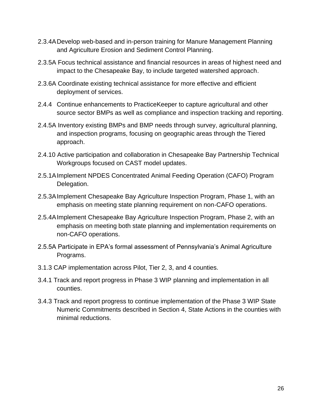- 2.3.4ADevelop web-based and in-person training for Manure Management Planning and Agriculture Erosion and Sediment Control Planning.
- 2.3.5A Focus technical assistance and financial resources in areas of highest need and impact to the Chesapeake Bay, to include targeted watershed approach.
- 2.3.6A Coordinate existing technical assistance for more effective and efficient deployment of services.
- 2.4.4 Continue enhancements to PracticeKeeper to capture agricultural and other source sector BMPs as well as compliance and inspection tracking and reporting.
- 2.4.5A Inventory existing BMPs and BMP needs through survey, agricultural planning, and inspection programs, focusing on geographic areas through the Tiered approach.
- 2.4.10 Active participation and collaboration in Chesapeake Bay Partnership Technical Workgroups focused on CAST model updates.
- 2.5.1AImplement NPDES Concentrated Animal Feeding Operation (CAFO) Program Delegation.
- 2.5.3AImplement Chesapeake Bay Agriculture Inspection Program, Phase 1, with an emphasis on meeting state planning requirement on non-CAFO operations.
- 2.5.4AImplement Chesapeake Bay Agriculture Inspection Program, Phase 2, with an emphasis on meeting both state planning and implementation requirements on non-CAFO operations.
- 2.5.5A Participate in EPA's formal assessment of Pennsylvania's Animal Agriculture Programs.
- 3.1.3 CAP implementation across Pilot, Tier 2, 3, and 4 counties.
- 3.4.1 Track and report progress in Phase 3 WIP planning and implementation in all counties.
- 3.4.3 Track and report progress to continue implementation of the Phase 3 WIP State Numeric Commitments described in Section 4, State Actions in the counties with minimal reductions.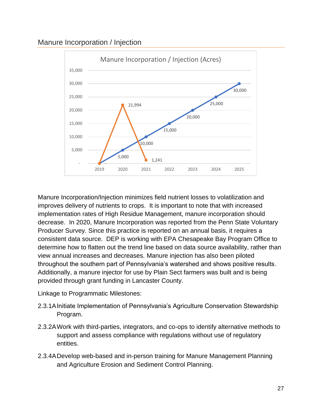# <span id="page-29-0"></span>Manure Incorporation / Injection



Manure Incorporation/Injection minimizes field nutrient losses to volatilization and improves delivery of nutrients to crops. It is important to note that with increased implementation rates of High Residue Management, manure incorporation should decrease. In 2020, Manure Incorporation was reported from the Penn State Voluntary Producer Survey. Since this practice is reported on an annual basis, it requires a consistent data source. DEP is working with EPA Chesapeake Bay Program Office to determine how to flatten out the trend line based on data source availability, rather than view annual increases and decreases. Manure injection has also been piloted throughout the southern part of Pennsylvania's watershed and shows positive results. Additionally, a manure injector for use by Plain Sect farmers was built and is being provided through grant funding in Lancaster County.

- 2.3.1AInitiate Implementation of Pennsylvania's Agriculture Conservation Stewardship Program.
- 2.3.2AWork with third-parties, integrators, and co-ops to identify alternative methods to support and assess compliance with regulations without use of regulatory entities.
- 2.3.4ADevelop web-based and in-person training for Manure Management Planning and Agriculture Erosion and Sediment Control Planning.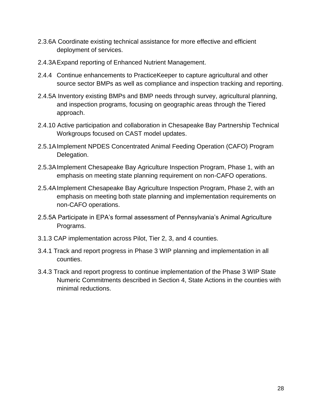- 2.3.6A Coordinate existing technical assistance for more effective and efficient deployment of services.
- 2.4.3AExpand reporting of Enhanced Nutrient Management.
- 2.4.4 Continue enhancements to PracticeKeeper to capture agricultural and other source sector BMPs as well as compliance and inspection tracking and reporting.
- 2.4.5A Inventory existing BMPs and BMP needs through survey, agricultural planning, and inspection programs, focusing on geographic areas through the Tiered approach.
- 2.4.10 Active participation and collaboration in Chesapeake Bay Partnership Technical Workgroups focused on CAST model updates.
- 2.5.1AImplement NPDES Concentrated Animal Feeding Operation (CAFO) Program Delegation.
- 2.5.3AImplement Chesapeake Bay Agriculture Inspection Program, Phase 1, with an emphasis on meeting state planning requirement on non-CAFO operations.
- 2.5.4AImplement Chesapeake Bay Agriculture Inspection Program, Phase 2, with an emphasis on meeting both state planning and implementation requirements on non-CAFO operations.
- 2.5.5A Participate in EPA's formal assessment of Pennsylvania's Animal Agriculture Programs.
- 3.1.3 CAP implementation across Pilot, Tier 2, 3, and 4 counties.
- 3.4.1 Track and report progress in Phase 3 WIP planning and implementation in all counties.
- 3.4.3 Track and report progress to continue implementation of the Phase 3 WIP State Numeric Commitments described in Section 4, State Actions in the counties with minimal reductions.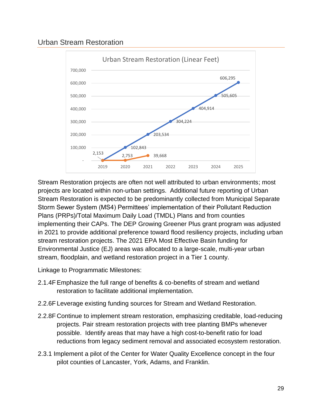# <span id="page-31-0"></span>Urban Stream Restoration



Stream Restoration projects are often not well attributed to urban environments; most projects are located within non-urban settings. Additional future reporting of Urban Stream Restoration is expected to be predominantly collected from Municipal Separate Storm Sewer System (MS4) Permittees' implementation of their Pollutant Reduction Plans (PRPs)/Total Maximum Daily Load (TMDL) Plans and from counties implementing their CAPs. The DEP Growing Greener Plus grant program was adjusted in 2021 to provide additional preference toward flood resiliency projects, including urban stream restoration projects. The 2021 EPA Most Effective Basin funding for Environmental Justice (EJ) areas was allocated to a large-scale, multi-year urban stream, floodplain, and wetland restoration project in a Tier 1 county.

- 2.1.4FEmphasize the full range of benefits & co-benefits of stream and wetland restoration to facilitate additional implementation.
- 2.2.6F Leverage existing funding sources for Stream and Wetland Restoration.
- 2.2.8F Continue to implement stream restoration, emphasizing creditable, load-reducing projects. Pair stream restoration projects with tree planting BMPs whenever possible. Identify areas that may have a high cost-to-benefit ratio for load reductions from legacy sediment removal and associated ecosystem restoration.
- 2.3.1 Implement a pilot of the Center for Water Quality Excellence concept in the four pilot counties of Lancaster, York, Adams, and Franklin.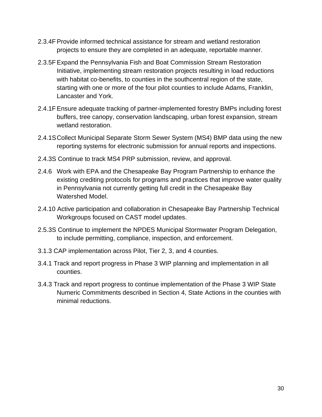- 2.3.4FProvide informed technical assistance for stream and wetland restoration projects to ensure they are completed in an adequate, reportable manner.
- 2.3.5FExpand the Pennsylvania Fish and Boat Commission Stream Restoration Initiative, implementing stream restoration projects resulting in load reductions with habitat co-benefits, to counties in the southcentral region of the state, starting with one or more of the four pilot counties to include Adams, Franklin, Lancaster and York.
- 2.4.1FEnsure adequate tracking of partner-implemented forestry BMPs including forest buffers, tree canopy, conservation landscaping, urban forest expansion, stream wetland restoration.
- 2.4.1SCollect Municipal Separate Storm Sewer System (MS4) BMP data using the new reporting systems for electronic submission for annual reports and inspections.
- 2.4.3S Continue to track MS4 PRP submission, review, and approval.
- 2.4.6 Work with EPA and the Chesapeake Bay Program Partnership to enhance the existing crediting protocols for programs and practices that improve water quality in Pennsylvania not currently getting full credit in the Chesapeake Bay Watershed Model.
- 2.4.10 Active participation and collaboration in Chesapeake Bay Partnership Technical Workgroups focused on CAST model updates.
- 2.5.3S Continue to implement the NPDES Municipal Stormwater Program Delegation, to include permitting, compliance, inspection, and enforcement.
- 3.1.3 CAP implementation across Pilot, Tier 2, 3, and 4 counties.
- 3.4.1 Track and report progress in Phase 3 WIP planning and implementation in all counties.
- 3.4.3 Track and report progress to continue implementation of the Phase 3 WIP State Numeric Commitments described in Section 4, State Actions in the counties with minimal reductions.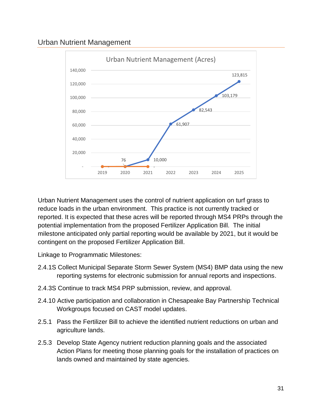# <span id="page-33-0"></span>Urban Nutrient Management



Urban Nutrient Management uses the control of nutrient application on turf grass to reduce loads in the urban environment. This practice is not currently tracked or reported. It is expected that these acres will be reported through MS4 PRPs through the potential implementation from the proposed Fertilizer Application Bill. The initial milestone anticipated only partial reporting would be available by 2021, but it would be contingent on the proposed Fertilizer Application Bill.

- 2.4.1S Collect Municipal Separate Storm Sewer System (MS4) BMP data using the new reporting systems for electronic submission for annual reports and inspections.
- 2.4.3S Continue to track MS4 PRP submission, review, and approval.
- 2.4.10 Active participation and collaboration in Chesapeake Bay Partnership Technical Workgroups focused on CAST model updates.
- 2.5.1 Pass the Fertilizer Bill to achieve the identified nutrient reductions on urban and agriculture lands.
- 2.5.3 Develop State Agency nutrient reduction planning goals and the associated Action Plans for meeting those planning goals for the installation of practices on lands owned and maintained by state agencies.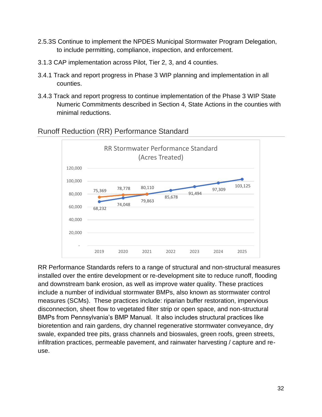- 2.5.3S Continue to implement the NPDES Municipal Stormwater Program Delegation, to include permitting, compliance, inspection, and enforcement.
- 3.1.3 CAP implementation across Pilot, Tier 2, 3, and 4 counties.
- 3.4.1 Track and report progress in Phase 3 WIP planning and implementation in all counties.
- 3.4.3 Track and report progress to continue implementation of the Phase 3 WIP State Numeric Commitments described in Section 4, State Actions in the counties with minimal reductions.



#### <span id="page-34-0"></span>Runoff Reduction (RR) Performance Standard

RR Performance Standards refers to a range of structural and non-structural measures installed over the entire development or re-development site to reduce runoff, flooding and downstream bank erosion, as well as improve water quality. These practices include a number of individual stormwater BMPs, also known as stormwater control measures (SCMs). These practices include: riparian buffer restoration, impervious disconnection, sheet flow to vegetated filter strip or open space, and non-structural BMPs from Pennsylvania's BMP Manual. It also includes structural practices like bioretention and rain gardens, dry channel regenerative stormwater conveyance, dry swale, expanded tree pits, grass channels and bioswales, green roofs, green streets, infiltration practices, permeable pavement, and rainwater harvesting / capture and reuse.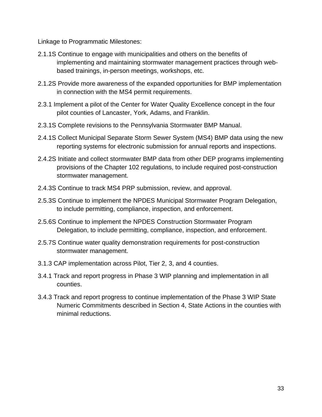- 2.1.1S Continue to engage with municipalities and others on the benefits of implementing and maintaining stormwater management practices through webbased trainings, in-person meetings, workshops, etc.
- 2.1.2S Provide more awareness of the expanded opportunities for BMP implementation in connection with the MS4 permit requirements.
- 2.3.1 Implement a pilot of the Center for Water Quality Excellence concept in the four pilot counties of Lancaster, York, Adams, and Franklin.
- 2.3.1S Complete revisions to the Pennsylvania Stormwater BMP Manual.
- 2.4.1S Collect Municipal Separate Storm Sewer System (MS4) BMP data using the new reporting systems for electronic submission for annual reports and inspections.
- 2.4.2S Initiate and collect stormwater BMP data from other DEP programs implementing provisions of the Chapter 102 regulations, to include required post-construction stormwater management.
- 2.4.3S Continue to track MS4 PRP submission, review, and approval.
- 2.5.3S Continue to implement the NPDES Municipal Stormwater Program Delegation, to include permitting, compliance, inspection, and enforcement.
- 2.5.6S Continue to implement the NPDES Construction Stormwater Program Delegation, to include permitting, compliance, inspection, and enforcement.
- 2.5.7S Continue water quality demonstration requirements for post-construction stormwater management.
- 3.1.3 CAP implementation across Pilot, Tier 2, 3, and 4 counties.
- 3.4.1 Track and report progress in Phase 3 WIP planning and implementation in all counties.
- 3.4.3 Track and report progress to continue implementation of the Phase 3 WIP State Numeric Commitments described in Section 4, State Actions in the counties with minimal reductions.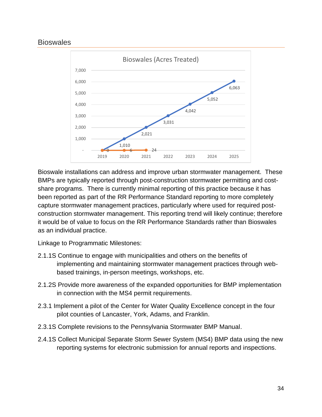# <span id="page-36-0"></span>**Bioswales**



Bioswale installations can address and improve urban stormwater management. These BMPs are typically reported through post-construction stormwater permitting and costshare programs. There is currently minimal reporting of this practice because it has been reported as part of the RR Performance Standard reporting to more completely capture stormwater management practices, particularly where used for required postconstruction stormwater management. This reporting trend will likely continue; therefore it would be of value to focus on the RR Performance Standards rather than Bioswales as an individual practice.

- 2.1.1S Continue to engage with municipalities and others on the benefits of implementing and maintaining stormwater management practices through webbased trainings, in-person meetings, workshops, etc.
- 2.1.2S Provide more awareness of the expanded opportunities for BMP implementation in connection with the MS4 permit requirements.
- 2.3.1 Implement a pilot of the Center for Water Quality Excellence concept in the four pilot counties of Lancaster, York, Adams, and Franklin.
- 2.3.1S Complete revisions to the Pennsylvania Stormwater BMP Manual.
- 2.4.1S Collect Municipal Separate Storm Sewer System (MS4) BMP data using the new reporting systems for electronic submission for annual reports and inspections.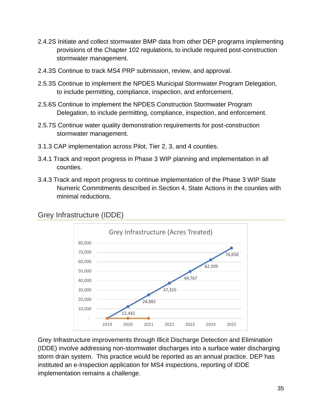- 2.4.2S Initiate and collect stormwater BMP data from other DEP programs implementing provisions of the Chapter 102 regulations, to include required post-construction stormwater management.
- 2.4.3S Continue to track MS4 PRP submission, review, and approval.
- 2.5.3S Continue to implement the NPDES Municipal Stormwater Program Delegation, to include permitting, compliance, inspection, and enforcement.
- 2.5.6S Continue to implement the NPDES Construction Stormwater Program Delegation, to include permitting, compliance, inspection, and enforcement.
- 2.5.7S Continue water quality demonstration requirements for post-construction stormwater management.
- 3.1.3 CAP implementation across Pilot, Tier 2, 3, and 4 counties.
- 3.4.1 Track and report progress in Phase 3 WIP planning and implementation in all counties.
- 3.4.3 Track and report progress to continue implementation of the Phase 3 WIP State Numeric Commitments described in Section 4, State Actions in the counties with minimal reductions.



# <span id="page-37-0"></span>Grey Infrastructure (IDDE)

Grey Infrastructure improvements through Illicit Discharge Detection and Elimination (IDDE) involve addressing non-stormwater discharges into a surface water discharging storm drain system. This practice would be reported as an annual practice. DEP has instituted an e-Inspection application for MS4 inspections, reporting of IDDE implementation remains a challenge.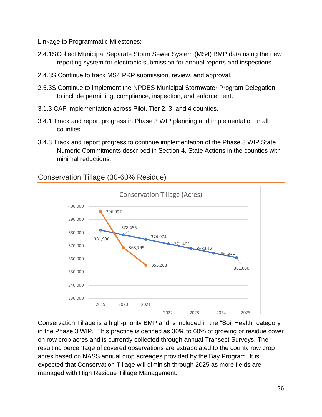Linkage to Programmatic Milestones:

- 2.4.1SCollect Municipal Separate Storm Sewer System (MS4) BMP data using the new reporting system for electronic submission for annual reports and inspections.
- 2.4.3S Continue to track MS4 PRP submission, review, and approval.
- 2.5.3S Continue to implement the NPDES Municipal Stormwater Program Delegation, to include permitting, compliance, inspection, and enforcement.
- 3.1.3 CAP implementation across Pilot, Tier 2, 3, and 4 counties.
- 3.4.1 Track and report progress in Phase 3 WIP planning and implementation in all counties.
- 3.4.3 Track and report progress to continue implementation of the Phase 3 WIP State Numeric Commitments described in Section 4, State Actions in the counties with minimal reductions.

# <span id="page-38-0"></span>Conservation Tillage (30-60% Residue)



Conservation Tillage is a high-priority BMP and is included in the "Soil Health" category in the Phase 3 WIP. This practice is defined as 30% to 60% of growing or residue cover on row crop acres and is currently collected through annual Transect Surveys. The resulting percentage of covered observations are extrapolated to the county row crop acres based on NASS annual crop acreages provided by the Bay Program. It is expected that Conservation Tillage will diminish through 2025 as more fields are managed with High Residue Tillage Management.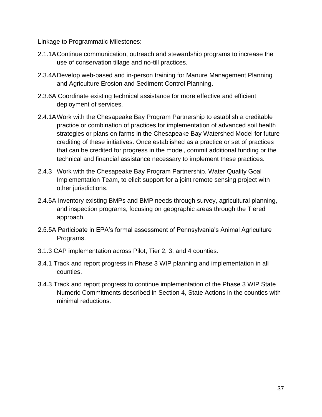- 2.1.1AContinue communication, outreach and stewardship programs to increase the use of conservation tillage and no-till practices.
- 2.3.4ADevelop web-based and in-person training for Manure Management Planning and Agriculture Erosion and Sediment Control Planning.
- 2.3.6A Coordinate existing technical assistance for more effective and efficient deployment of services.
- 2.4.1AWork with the Chesapeake Bay Program Partnership to establish a creditable practice or combination of practices for implementation of advanced soil health strategies or plans on farms in the Chesapeake Bay Watershed Model for future crediting of these initiatives. Once established as a practice or set of practices that can be credited for progress in the model, commit additional funding or the technical and financial assistance necessary to implement these practices.
- 2.4.3 Work with the Chesapeake Bay Program Partnership, Water Quality Goal Implementation Team, to elicit support for a joint remote sensing project with other jurisdictions.
- 2.4.5A Inventory existing BMPs and BMP needs through survey, agricultural planning, and inspection programs, focusing on geographic areas through the Tiered approach.
- 2.5.5A Participate in EPA's formal assessment of Pennsylvania's Animal Agriculture Programs.
- 3.1.3 CAP implementation across Pilot, Tier 2, 3, and 4 counties.
- 3.4.1 Track and report progress in Phase 3 WIP planning and implementation in all counties.
- 3.4.3 Track and report progress to continue implementation of the Phase 3 WIP State Numeric Commitments described in Section 4, State Actions in the counties with minimal reductions.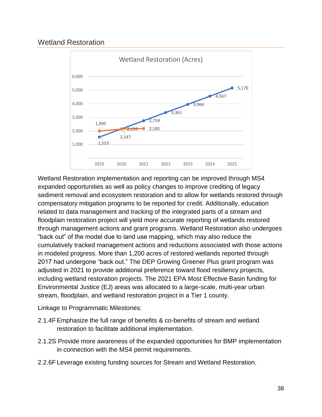# <span id="page-40-0"></span>Wetland Restoration



Wetland Restoration implementation and reporting can be improved through MS4 expanded opportunities as well as policy changes to improve crediting of legacy sediment removal and ecosystem restoration and to allow for wetlands restored through compensatory mitigation programs to be reported for credit. Additionally, education related to data management and tracking of the integrated parts of a stream and floodplain restoration project will yield more accurate reporting of wetlands restored through management actions and grant programs. Wetland Restoration also undergoes "back out" of the model due to land use mapping, which may also reduce the cumulatively tracked management actions and reductions associated with those actions in modeled progress. More than 1,200 acres of restored wetlands reported through 2017 had undergone "back out." The DEP Growing Greener Plus grant program was adjusted in 2021 to provide additional preference toward flood resiliency projects, including wetland restoration projects. The 2021 EPA Most Effective Basin funding for Environmental Justice (EJ) areas was allocated to a large-scale, multi-year urban stream, floodplain, and wetland restoration project in a Tier 1 county.

- 2.1.4FEmphasize the full range of benefits & co-benefits of stream and wetland restoration to facilitate additional implementation.
- 2.1.2S Provide more awareness of the expanded opportunities for BMP implementation in connection with the MS4 permit requirements.
- 2.2.6F Leverage existing funding sources for Stream and Wetland Restoration.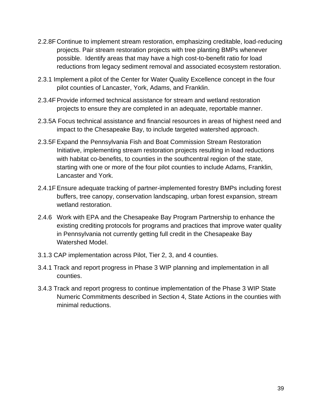- 2.2.8F Continue to implement stream restoration, emphasizing creditable, load-reducing projects. Pair stream restoration projects with tree planting BMPs whenever possible. Identify areas that may have a high cost-to-benefit ratio for load reductions from legacy sediment removal and associated ecosystem restoration.
- 2.3.1 Implement a pilot of the Center for Water Quality Excellence concept in the four pilot counties of Lancaster, York, Adams, and Franklin.
- 2.3.4FProvide informed technical assistance for stream and wetland restoration projects to ensure they are completed in an adequate, reportable manner.
- 2.3.5A Focus technical assistance and financial resources in areas of highest need and impact to the Chesapeake Bay, to include targeted watershed approach.
- 2.3.5FExpand the Pennsylvania Fish and Boat Commission Stream Restoration Initiative, implementing stream restoration projects resulting in load reductions with habitat co-benefits, to counties in the southcentral region of the state, starting with one or more of the four pilot counties to include Adams, Franklin, Lancaster and York.
- 2.4.1FEnsure adequate tracking of partner-implemented forestry BMPs including forest buffers, tree canopy, conservation landscaping, urban forest expansion, stream wetland restoration.
- 2.4.6 Work with EPA and the Chesapeake Bay Program Partnership to enhance the existing crediting protocols for programs and practices that improve water quality in Pennsylvania not currently getting full credit in the Chesapeake Bay Watershed Model.
- 3.1.3 CAP implementation across Pilot, Tier 2, 3, and 4 counties.
- 3.4.1 Track and report progress in Phase 3 WIP planning and implementation in all counties.
- 3.4.3 Track and report progress to continue implementation of the Phase 3 WIP State Numeric Commitments described in Section 4, State Actions in the counties with minimal reductions.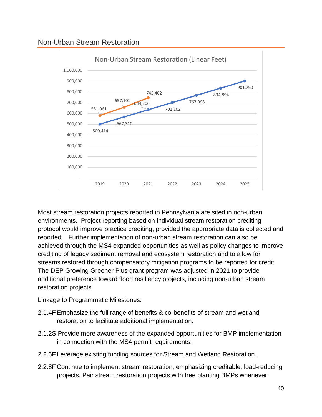<span id="page-42-0"></span>



Most stream restoration projects reported in Pennsylvania are sited in non-urban environments. Project reporting based on individual stream restoration crediting protocol would improve practice crediting, provided the appropriate data is collected and reported. Further implementation of non-urban stream restoration can also be achieved through the MS4 expanded opportunities as well as policy changes to improve crediting of legacy sediment removal and ecosystem restoration and to allow for streams restored through compensatory mitigation programs to be reported for credit. The DEP Growing Greener Plus grant program was adjusted in 2021 to provide additional preference toward flood resiliency projects, including non-urban stream restoration projects.

- 2.1.4FEmphasize the full range of benefits & co-benefits of stream and wetland restoration to facilitate additional implementation.
- 2.1.2S Provide more awareness of the expanded opportunities for BMP implementation in connection with the MS4 permit requirements.
- 2.2.6F Leverage existing funding sources for Stream and Wetland Restoration.
- 2.2.8F Continue to implement stream restoration, emphasizing creditable, load-reducing projects. Pair stream restoration projects with tree planting BMPs whenever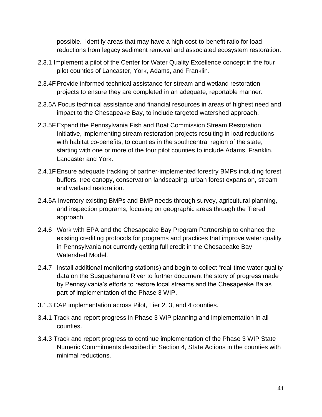possible. Identify areas that may have a high cost-to-benefit ratio for load reductions from legacy sediment removal and associated ecosystem restoration.

- 2.3.1 Implement a pilot of the Center for Water Quality Excellence concept in the four pilot counties of Lancaster, York, Adams, and Franklin.
- 2.3.4FProvide informed technical assistance for stream and wetland restoration projects to ensure they are completed in an adequate, reportable manner.
- 2.3.5A Focus technical assistance and financial resources in areas of highest need and impact to the Chesapeake Bay, to include targeted watershed approach.
- 2.3.5FExpand the Pennsylvania Fish and Boat Commission Stream Restoration Initiative, implementing stream restoration projects resulting in load reductions with habitat co-benefits, to counties in the southcentral region of the state, starting with one or more of the four pilot counties to include Adams, Franklin, Lancaster and York.
- 2.4.1FEnsure adequate tracking of partner-implemented forestry BMPs including forest buffers, tree canopy, conservation landscaping, urban forest expansion, stream and wetland restoration.
- 2.4.5A Inventory existing BMPs and BMP needs through survey, agricultural planning, and inspection programs, focusing on geographic areas through the Tiered approach.
- 2.4.6 Work with EPA and the Chesapeake Bay Program Partnership to enhance the existing crediting protocols for programs and practices that improve water quality in Pennsylvania not currently getting full credit in the Chesapeake Bay Watershed Model.
- 2.4.7 Install additional monitoring station(s) and begin to collect "real-time water quality data on the Susquehanna River to further document the story of progress made by Pennsylvania's efforts to restore local streams and the Chesapeake Ba as part of implementation of the Phase 3 WIP.
- 3.1.3 CAP implementation across Pilot, Tier 2, 3, and 4 counties.
- 3.4.1 Track and report progress in Phase 3 WIP planning and implementation in all counties.
- 3.4.3 Track and report progress to continue implementation of the Phase 3 WIP State Numeric Commitments described in Section 4, State Actions in the counties with minimal reductions.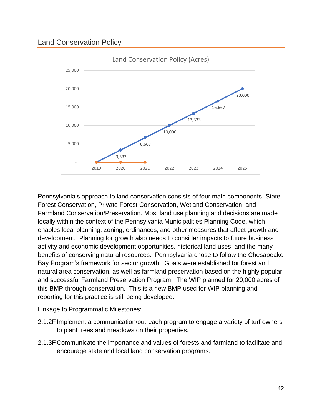# <span id="page-44-0"></span>Land Conservation Policy



Pennsylvania's approach to land conservation consists of four main components: State Forest Conservation, Private Forest Conservation, Wetland Conservation, and Farmland Conservation/Preservation. Most land use planning and decisions are made locally within the context of the Pennsylvania Municipalities Planning Code, which enables local planning, zoning, ordinances, and other measures that affect growth and development. Planning for growth also needs to consider impacts to future business activity and economic development opportunities, historical land uses, and the many benefits of conserving natural resources. Pennsylvania chose to follow the Chesapeake Bay Program's framework for sector growth. Goals were established for forest and natural area conservation, as well as farmland preservation based on the highly popular and successful Farmland Preservation Program. The WIP planned for 20,000 acres of this BMP through conservation. This is a new BMP used for WIP planning and reporting for this practice is still being developed.

- 2.1.2F Implement a communication/outreach program to engage a variety of turf owners to plant trees and meadows on their properties.
- 2.1.3F Communicate the importance and values of forests and farmland to facilitate and encourage state and local land conservation programs.